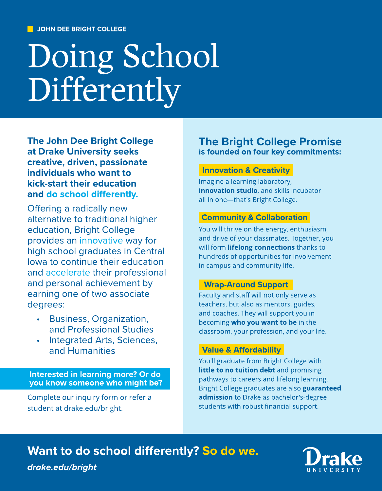# Doing School Differently

The John Dee Bright College at Drake University seeks creative, driven, passionate individuals who want to kick-start their education and do school differently.

Offering a radically new alternative to traditional higher education, Bright College provides an innovative way for high school graduates in Central Iowa to continue their education and accelerate their professional and personal achievement by earning one of two associate degrees:

- Business, Organization, and Professional Studies
- Integrated Arts, Sciences, and Humanities

Interested in learning more? Or do you know someone who might be?

Complete our [inquiry](https://www.drake.edu/bright/about/prospectivestudentrequestforinformation/) [form](https://www.drake.edu/bright/about/prospectivestudentrequestforinformation/) or [refer](https://www.drake.edu/bright/about/refer/) [a](https://www.drake.edu/bright/about/refer/) [student](https://www.drake.edu/bright/about/refer/) at drake.edu/bright.

# The Bright College Promise is founded on four key commitments:

## Innovation & Creativity

Imagine a learning laboratory, innovation studio, and skills incubator all in one-that's Bright College.

## Community & Collaboration

You will thrive on the energy, enthusiasm, and drive of your classmates. Together, you will form lifelong connections thanks to hundreds of opportunities for involvement in campus and community life.

### Wrap-Around Support

Faculty and staff will not only serve as teachers, but also as mentors, guides, and coaches. They will support you in becoming who you want to be in the classroom, your profession, and your life.

## Value & Affordability

You'll graduate from Bright College with little to no tuition debt and promising pathways to careers and lifelong learning. Bright College graduates are also guaranteed admission to Drake as bachelor's-degree students with robust financial support.

# Want to do school differently? So do we.

**drake.edu/bright**